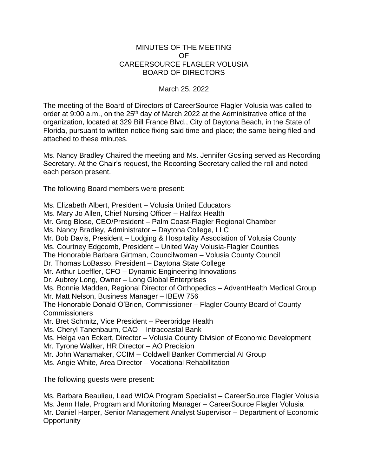## MINUTES OF THE MEETING OF CAREERSOURCE FLAGLER VOLUSIA BOARD OF DIRECTORS

March 25, 2022

The meeting of the Board of Directors of CareerSource Flagler Volusia was called to order at 9:00 a.m., on the  $25<sup>th</sup>$  day of March 2022 at the Administrative office of the organization, located at 329 Bill France Blvd., City of Daytona Beach, in the State of Florida, pursuant to written notice fixing said time and place; the same being filed and attached to these minutes.

Ms. Nancy Bradley Chaired the meeting and Ms. Jennifer Gosling served as Recording Secretary. At the Chair's request, the Recording Secretary called the roll and noted each person present.

The following Board members were present:

Ms. Elizabeth Albert, President – Volusia United Educators Ms. Mary Jo Allen, Chief Nursing Officer – Halifax Health Mr. Greg Blose, CEO/President – Palm Coast-Flagler Regional Chamber Ms. Nancy Bradley, Administrator – Daytona College, LLC Mr. Bob Davis, President – Lodging & Hospitality Association of Volusia County Ms. Courtney Edgcomb, President – United Way Volusia-Flagler Counties The Honorable Barbara Girtman, Councilwoman – Volusia County Council Dr. Thomas LoBasso, President – Daytona State College Mr. Arthur Loeffler, CFO – Dynamic Engineering Innovations Dr. Aubrey Long, Owner – Long Global Enterprises Ms. Bonnie Madden, Regional Director of Orthopedics – AdventHealth Medical Group Mr. Matt Nelson, Business Manager – IBEW 756 The Honorable Donald O'Brien, Commissioner – Flagler County Board of County **Commissioners** Mr. Bret Schmitz, Vice President – Peerbridge Health Ms. Cheryl Tanenbaum, CAO – Intracoastal Bank Ms. Helga van Eckert, Director – Volusia County Division of Economic Development Mr. Tyrone Walker, HR Director – AO Precision Mr. John Wanamaker, CCIM – Coldwell Banker Commercial AI Group Ms. Angie White, Area Director – Vocational Rehabilitation

The following guests were present:

Ms. Barbara Beaulieu, Lead WIOA Program Specialist – CareerSource Flagler Volusia Ms. Jenn Hale, Program and Monitoring Manager – CareerSource Flagler Volusia Mr. Daniel Harper, Senior Management Analyst Supervisor – Department of Economic **Opportunity**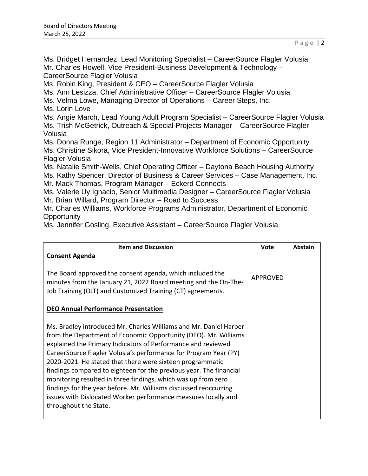Ms. Bridget Hernandez, Lead Monitoring Specialist – CareerSource Flagler Volusia Mr. Charles Howell, Vice President-Business Development & Technology – CareerSource Flagler Volusia

Ms. Robin King, President & CEO – CareerSource Flagler Volusia

Ms. Ann Lesizza, Chief Administrative Officer – CareerSource Flagler Volusia

Ms. Velma Lowe, Managing Director of Operations – Career Steps, Inc.

Ms. Lorin Love

Ms. Angie March, Lead Young Adult Program Specialist – CareerSource Flagler Volusia Ms. Trish McGetrick, Outreach & Special Projects Manager – CareerSource Flagler Volusia

Ms. Donna Runge, Region 11 Administrator – Department of Economic Opportunity Ms. Christine Sikora, Vice President-Innovative Workforce Solutions – CareerSource Flagler Volusia

Ms. Natalie Smith-Wells, Chief Operating Officer – Daytona Beach Housing Authority Ms. Kathy Spencer, Director of Business & Career Services – Case Management, Inc.

Mr. Mack Thomas, Program Manager – Eckerd Connects

Ms. Valerie Uy Ignacio, Senior Multimedia Designer – CareerSource Flagler Volusia Mr. Brian Willard, Program Director – Road to Success

Mr. Charles Williams, Workforce Programs Administrator, Department of Economic **Opportunity** 

Ms. Jennifer Gosling, Executive Assistant – CareerSource Flagler Volusia

| <b>Item and Discussion</b>                                                                                                                                                                                                                                                                                                                                                                                                                                                                                                                                                                                                                  | <b>Vote</b> | Abstain |
|---------------------------------------------------------------------------------------------------------------------------------------------------------------------------------------------------------------------------------------------------------------------------------------------------------------------------------------------------------------------------------------------------------------------------------------------------------------------------------------------------------------------------------------------------------------------------------------------------------------------------------------------|-------------|---------|
| <b>Consent Agenda</b><br>The Board approved the consent agenda, which included the<br>minutes from the January 21, 2022 Board meeting and the On-The-<br>Job Training (OJT) and Customized Training (CT) agreements.                                                                                                                                                                                                                                                                                                                                                                                                                        | APPROVED    |         |
| <b>DEO Annual Performance Presentation</b>                                                                                                                                                                                                                                                                                                                                                                                                                                                                                                                                                                                                  |             |         |
| Ms. Bradley introduced Mr. Charles Williams and Mr. Daniel Harper<br>from the Department of Economic Opportunity (DEO). Mr. Williams<br>explained the Primary Indicators of Performance and reviewed<br>CareerSource Flagler Volusia's performance for Program Year (PY)<br>2020-2021. He stated that there were sixteen programmatic<br>findings compared to eighteen for the previous year. The financial<br>monitoring resulted in three findings, which was up from zero<br>findings for the year before. Mr. Williams discussed reoccurring<br>issues with Dislocated Worker performance measures locally and<br>throughout the State. |             |         |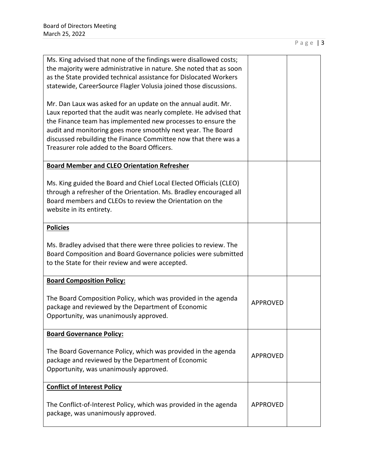| Ms. King advised that none of the findings were disallowed costs;<br>the majority were administrative in nature. She noted that as soon<br>as the State provided technical assistance for Dislocated Workers                     |                 |  |
|----------------------------------------------------------------------------------------------------------------------------------------------------------------------------------------------------------------------------------|-----------------|--|
| statewide, CareerSource Flagler Volusia joined those discussions.                                                                                                                                                                |                 |  |
| Mr. Dan Laux was asked for an update on the annual audit. Mr.<br>Laux reported that the audit was nearly complete. He advised that                                                                                               |                 |  |
| the Finance team has implemented new processes to ensure the<br>audit and monitoring goes more smoothly next year. The Board                                                                                                     |                 |  |
| discussed rebuilding the Finance Committee now that there was a<br>Treasurer role added to the Board Officers.                                                                                                                   |                 |  |
| <b>Board Member and CLEO Orientation Refresher</b>                                                                                                                                                                               |                 |  |
| Ms. King guided the Board and Chief Local Elected Officials (CLEO)<br>through a refresher of the Orientation. Ms. Bradley encouraged all<br>Board members and CLEOs to review the Orientation on the<br>website in its entirety. |                 |  |
| <b>Policies</b>                                                                                                                                                                                                                  |                 |  |
| Ms. Bradley advised that there were three policies to review. The<br>Board Composition and Board Governance policies were submitted<br>to the State for their review and were accepted.                                          |                 |  |
| <b>Board Composition Policy:</b>                                                                                                                                                                                                 |                 |  |
| The Board Composition Policy, which was provided in the agenda<br>package and reviewed by the Department of Economic<br>Opportunity, was unanimously approved.                                                                   | <b>APPROVED</b> |  |
| <b>Board Governance Policy:</b>                                                                                                                                                                                                  |                 |  |
| The Board Governance Policy, which was provided in the agenda<br>package and reviewed by the Department of Economic<br>Opportunity, was unanimously approved.                                                                    | <b>APPROVED</b> |  |
| <b>Conflict of Interest Policy</b>                                                                                                                                                                                               |                 |  |
| The Conflict-of-Interest Policy, which was provided in the agenda<br>package, was unanimously approved.                                                                                                                          | <b>APPROVED</b> |  |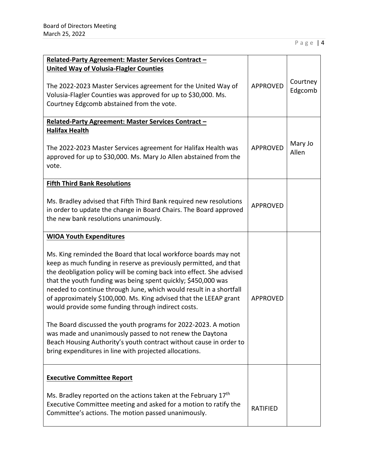| Related-Party Agreement: Master Services Contract -<br><b>United Way of Volusia-Flagler Counties</b><br>The 2022-2023 Master Services agreement for the United Way of<br>Volusia-Flagler Counties was approved for up to \$30,000. Ms.<br>Courtney Edgcomb abstained from the vote.                                                                                                                                                                                                                                                                                                                                                                                                                                                                                            | <b>APPROVED</b> | Courtney<br>Edgcomb |
|--------------------------------------------------------------------------------------------------------------------------------------------------------------------------------------------------------------------------------------------------------------------------------------------------------------------------------------------------------------------------------------------------------------------------------------------------------------------------------------------------------------------------------------------------------------------------------------------------------------------------------------------------------------------------------------------------------------------------------------------------------------------------------|-----------------|---------------------|
| Related-Party Agreement: Master Services Contract -<br><b>Halifax Health</b><br>The 2022-2023 Master Services agreement for Halifax Health was<br>approved for up to \$30,000. Ms. Mary Jo Allen abstained from the<br>vote.                                                                                                                                                                                                                                                                                                                                                                                                                                                                                                                                                   | <b>APPROVED</b> | Mary Jo<br>Allen    |
| <b>Fifth Third Bank Resolutions</b><br>Ms. Bradley advised that Fifth Third Bank required new resolutions<br>in order to update the change in Board Chairs. The Board approved<br>the new bank resolutions unanimously.                                                                                                                                                                                                                                                                                                                                                                                                                                                                                                                                                        | <b>APPROVED</b> |                     |
| <b>WIOA Youth Expenditures</b><br>Ms. King reminded the Board that local workforce boards may not<br>keep as much funding in reserve as previously permitted, and that<br>the deobligation policy will be coming back into effect. She advised<br>that the youth funding was being spent quickly; \$450,000 was<br>needed to continue through June, which would result in a shortfall<br>of approximately \$100,000. Ms. King advised that the LEEAP grant<br>would provide some funding through indirect costs.<br>The Board discussed the youth programs for 2022-2023. A motion<br>was made and unanimously passed to not renew the Daytona<br>Beach Housing Authority's youth contract without cause in order to<br>bring expenditures in line with projected allocations. | <b>APPROVED</b> |                     |
| <b>Executive Committee Report</b><br>Ms. Bradley reported on the actions taken at the February 17 <sup>th</sup><br>Executive Committee meeting and asked for a motion to ratify the<br>Committee's actions. The motion passed unanimously.                                                                                                                                                                                                                                                                                                                                                                                                                                                                                                                                     | <b>RATIFIED</b> |                     |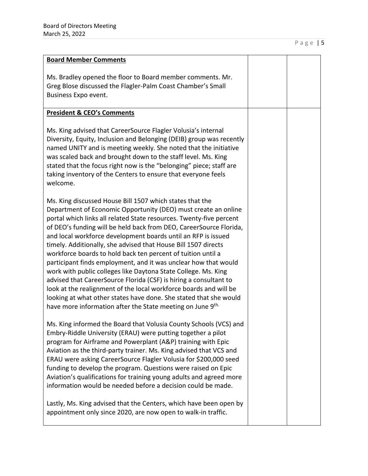| <b>Board Member Comments</b>                                                                                                                                                                                                                                                                                                                                                                                                                                                                                                                                                                                                                                                                                                                                                                                                                                                                             |  |
|----------------------------------------------------------------------------------------------------------------------------------------------------------------------------------------------------------------------------------------------------------------------------------------------------------------------------------------------------------------------------------------------------------------------------------------------------------------------------------------------------------------------------------------------------------------------------------------------------------------------------------------------------------------------------------------------------------------------------------------------------------------------------------------------------------------------------------------------------------------------------------------------------------|--|
| Ms. Bradley opened the floor to Board member comments. Mr.<br>Greg Blose discussed the Flagler-Palm Coast Chamber's Small<br>Business Expo event.                                                                                                                                                                                                                                                                                                                                                                                                                                                                                                                                                                                                                                                                                                                                                        |  |
| <b>President &amp; CEO's Comments</b>                                                                                                                                                                                                                                                                                                                                                                                                                                                                                                                                                                                                                                                                                                                                                                                                                                                                    |  |
| Ms. King advised that CareerSource Flagler Volusia's internal<br>Diversity, Equity, Inclusion and Belonging (DEIB) group was recently<br>named UNITY and is meeting weekly. She noted that the initiative<br>was scaled back and brought down to the staff level. Ms. King<br>stated that the focus right now is the "belonging" piece; staff are<br>taking inventory of the Centers to ensure that everyone feels<br>welcome.                                                                                                                                                                                                                                                                                                                                                                                                                                                                           |  |
| Ms. King discussed House Bill 1507 which states that the<br>Department of Economic Opportunity (DEO) must create an online<br>portal which links all related State resources. Twenty-five percent<br>of DEO's funding will be held back from DEO, CareerSource Florida,<br>and local workforce development boards until an RFP is issued<br>timely. Additionally, she advised that House Bill 1507 directs<br>workforce boards to hold back ten percent of tuition until a<br>participant finds employment, and it was unclear how that would<br>work with public colleges like Daytona State College. Ms. King<br>advised that CareerSource Florida (CSF) is hiring a consultant to<br>look at the realignment of the local workforce boards and will be<br>looking at what other states have done. She stated that she would<br>have more information after the State meeting on June 9 <sup>th.</sup> |  |
| Ms. King informed the Board that Volusia County Schools (VCS) and<br>Embry-Riddle University (ERAU) were putting together a pilot<br>program for Airframe and Powerplant (A&P) training with Epic<br>Aviation as the third-party trainer. Ms. King advised that VCS and<br>ERAU were asking CareerSource Flagler Volusia for \$200,000 seed<br>funding to develop the program. Questions were raised on Epic<br>Aviation's qualifications for training young adults and agreed more<br>information would be needed before a decision could be made.<br>Lastly, Ms. King advised that the Centers, which have been open by<br>appointment only since 2020, are now open to walk-in traffic.                                                                                                                                                                                                               |  |